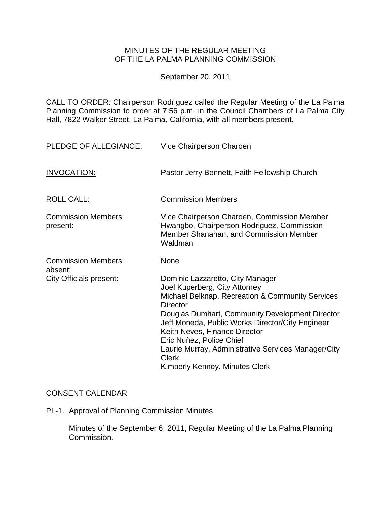## MINUTES OF THE REGULAR MEETING OF THE LA PALMA PLANNING COMMISSION

September 20, 2011

CALL TO ORDER: Chairperson [Rodriguez called the Regular Meeting of the La Palma](http://lapalma.granicus.com/MediaPlayerFrameHandler.php?view_id=&clip_id=613&meta_id=78150)  Planning Commission to order at 7:56 [p.m. in the Council Chambers of La Palma City](http://lapalma.granicus.com/MediaPlayerFrameHandler.php?view_id=&clip_id=613&meta_id=78150)  [Hall, 7822 Walker Street, La Palma, California, with all members present.](http://lapalma.granicus.com/MediaPlayerFrameHandler.php?view_id=&clip_id=613&meta_id=78150) 

| PLEDGE OF ALLEGIANCE:                 | Vice Chairperson Charoen                                                                                                                                                                                                                                                                                                                                                                                              |
|---------------------------------------|-----------------------------------------------------------------------------------------------------------------------------------------------------------------------------------------------------------------------------------------------------------------------------------------------------------------------------------------------------------------------------------------------------------------------|
| <b>INVOCATION:</b>                    | Pastor Jerry Bennett, Faith Fellowship Church                                                                                                                                                                                                                                                                                                                                                                         |
| <b>ROLL CALL:</b>                     | <b>Commission Members</b>                                                                                                                                                                                                                                                                                                                                                                                             |
| <b>Commission Members</b><br>present: | Vice Chairperson Charoen, Commission Member<br>Hwangbo, Chairperson Rodriguez, Commission<br>Member Shanahan, and Commission Member<br>Waldman                                                                                                                                                                                                                                                                        |
| <b>Commission Members</b><br>absent:  | None                                                                                                                                                                                                                                                                                                                                                                                                                  |
| <b>City Officials present:</b>        | Dominic Lazzaretto, City Manager<br>Joel Kuperberg, City Attorney<br>Michael Belknap, Recreation & Community Services<br><b>Director</b><br>Douglas Dumhart, Community Development Director<br>Jeff Moneda, Public Works Director/City Engineer<br>Keith Neves, Finance Director<br>Eric Nuñez, Police Chief<br>Laurie Murray, Administrative Services Manager/City<br><b>Clerk</b><br>Kimberly Kenney, Minutes Clerk |

# [CONSENT CALENDAR](http://lapalma.granicus.com/MediaPlayerFrameHandler.php?view_id=&clip_id=613&meta_id=78216)

PL-1. Approval of Planning Commission Minutes

Minutes of the September 6, 2011, Regular Meeting of the La Palma Planning Commission.